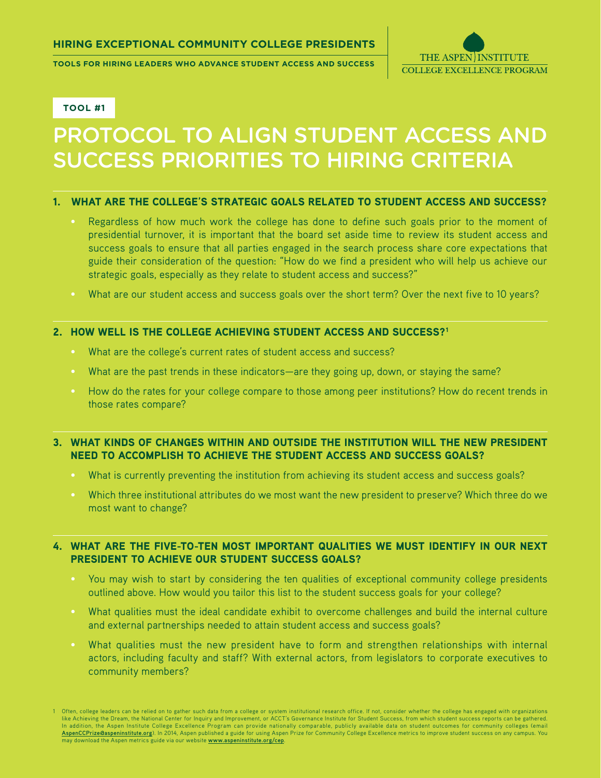**Tools for Hiring Leaders who advance Student Access and Success**



#### **Tool #1**

# Protocol to Align Student Access and Success Priorities To Hiring Criteria

#### 1. WHAT ARE THE COLLEGE'S STRATEGIC GOALS RELATED TO STUDENT ACCESS AND SUCCESS?

- Regardless of how much work the college has done to define such goals prior to the moment of presidential turnover, it is important that the board set aside time to review its student access and success goals to ensure that all parties engaged in the search process share core expectations that guide their consideration of the question: "How do we find a president who will help us achieve our strategic goals, especially as they relate to student access and success?"
- What are our student access and success goals over the short term? Over the next five to 10 years?

#### 2. HOW WELL IS THE COLLEGE ACHIEVING STUDENT ACCESS AND SUCCESS?<sup>1</sup>

- What are the college's current rates of student access and success?
- What are the past trends in these indicators—are they going up, down, or staying the same?
- How do the rates for your college compare to those among peer institutions? How do recent trends in those rates compare?

#### 3. What kinds of changes within and outside the institution will the new president need to accomplish to achieve the student access and success goals?

- What is currently preventing the institution from achieving its student access and success goals?
- Which three institutional attributes do we most want the new president to preserve? Which three do we most want to change?

## 4. What are the five-to-ten most important qualities we must identify in our next president to achieve our student success goals?

- You may wish to start by considering the ten qualities of exceptional community college presidents outlined above. How would you tailor this list to the student success goals for your college?
- What qualities must the ideal candidate exhibit to overcome challenges and build the internal culture and external partnerships needed to attain student access and success goals?
- What qualities must the new president have to form and strengthen relationships with internal actors, including faculty and staff? With external actors, from legislators to corporate executives to community members?

<sup>1</sup> Often, college leaders can be relied on to gather such data from a college or system institutional research office. If not, consider whether the college has engaged with organizations like Achieving the Dream, the National Center for Inquiry and Improvement, or ACCT's Governance Institute for Student Success, from which student success reports can be gathered. In addition, the Aspen Institute College Excellence Program can provide nationally comparable, publicly available data on student outcomes for community colleges (email **[AspenCCPrize@aspeninstitute.org](mailto:AspenCCPrize%40aspeninstitute.org?subject=)**). In 2014, Aspen published a guide for using Aspen Prize for Community College Excellence metrics to improve student success on any campus. You may download the Aspen metrics guide via our website **[www.aspeninstitute.org/cep](http://www.aspeninstitute.org/cep)**.